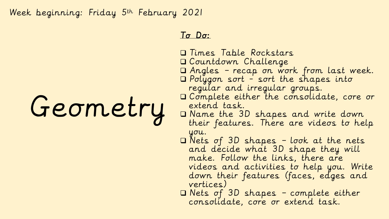Week beginning: Friday 5th February 2021

# Geometry

### To Do:

- Times Table Rockstars
- Countdown Challenge
- Angles recap on work from last week.
- Polygon sort sort the shapes into regular and irregular groups.
- Complete either the consolidate, core or extend task.
- Name the 3D shapes and write down their features. There are videos to help you.
- Nets of 3D shapes look at the nets and decide what 3D shape they will make. Follow the links, there are videos and activities to help you. Write down their features (faces, edges and vertices)
- Nets of 3D shapes complete either consolidate, core or extend task.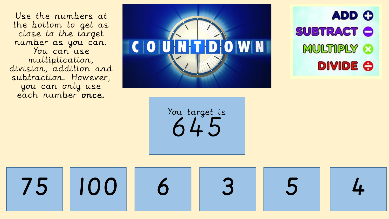Use the numbers at the bottom to get as close to the target number as you can. You can use multiplication, division, addition and subtraction. However, you can only use each number once.



**ADD O** 

**SUBTRACT O** 

MULTIPLY 3

**DIVIDE O** 

You target is 645

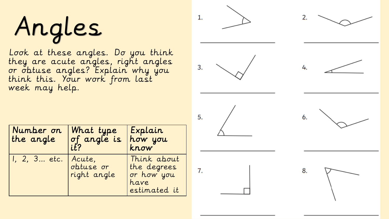# Angles

Look at these angles. Do you think they are acute angles, right angles or obtuse angles? Explain why you think this. Your work from last week may help.

| Number on<br>the angle | What type<br>of angle is<br>it?    | Explain<br>how you<br>$k n \sigma w$                             |  |
|------------------------|------------------------------------|------------------------------------------------------------------|--|
| I, 2, 3 etc.           | Acute,<br>obtuse or<br>right angle | Think about<br>the degrees<br>or how you<br>have<br>estimated it |  |

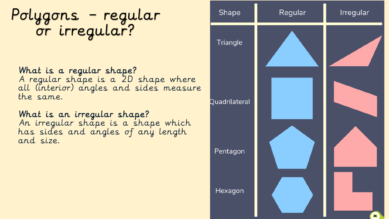Polygons – regular or irregular?

What is a regular shape? A regular shape is a 2D shape where all (interior) angles and sides measure the same.

What is an irregular shape? An irregular shape is a shape which has sides and angles of any length and size.

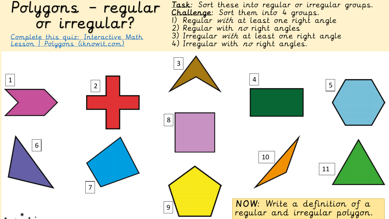## Polygons – regular or irregular?

[Complete this quiz: Interactive Math](https://www.iknowit.com/lessons/c-geometry-polygons.html)  Lesson | Polygons (iknowit.com)

Task: Sort these into regular or irregular groups. Challenge: Sort them into 4 groups. 1) Regular with at least one right angle 2) Regular with  $n\sigma$  right angles 3) Irregular with at least one right angle 4) Irregular with no right angles.

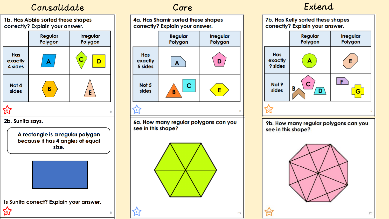### Consolidate Core Extend



A rectangle is a regular polygon because it has 4 angles of equal size.



Is Sunita correct? Explain your answer.

囟



6a. How many regular polygons can you see in this shape?





9b. How many regular polygons can you see in this shape?





PS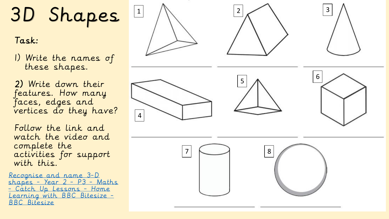# 3D Shapes 1

## Task:

1) Write the names of these shapes.

2) Write down their features. How many faces, edges and vertices do they have?

Follow the link and watch the video and complete the activities for support with this.

Recognise and name 3 -D <u>shapes - Year 2 - P3 - Maths</u> <u>- Catch Up Lessons - Home</u> [Learning with BBC Bitesize](https://www.bbc.co.uk/bitesize/articles/zvf43j6) - <u>BBC Bitesize</u>

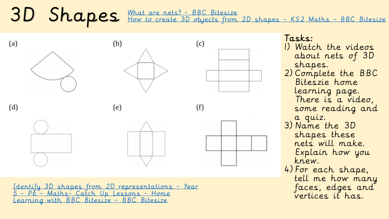3D Shapes [What are nets? -](https://www.bbc.co.uk/bitesize/topics/zt7xk2p/articles/z247tv4) BBC Bitesize<br>3D Shapes - KS2 Maths - BBC Bitesize

Tasks:  $(a)$  $(b)$  $(c)$  $(d)$  $(e)$  $(f)$ 

[Identify 3D shapes from 2D representations -](https://www.bbc.co.uk/bitesize/articles/zwq4ydm) Year 5 - P6 - Maths- Catch Up Lessons - Home Learning with BBC Bitesize - BBC Bitesize

1) Watch the videos about nets of 3D shapes. 2) Complete the BBC Biteszie home learning page. There is a video, some reading and a quiz. 3) Name the 3D shapes these nets will make. Explain how you knew. 4) For each shape, tell me how many faces, edges and vertices it has.